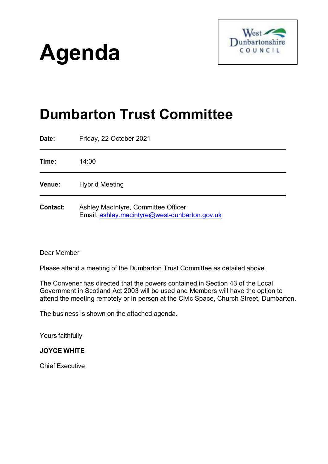# **Agenda**



# **Dumbarton Trust Committee**

| Date:           | Friday, 22 October 2021                                                              |
|-----------------|--------------------------------------------------------------------------------------|
| Time:           | 14:00                                                                                |
| <b>Venue:</b>   | <b>Hybrid Meeting</b>                                                                |
| <b>Contact:</b> | Ashley MacIntyre, Committee Officer<br>Email: ashley.macintyre@west-dunbarton.gov.uk |

#### Dear Member

Please attend a meeting of the Dumbarton Trust Committee as detailed above.

The Convener has directed that the powers contained in Section 43 of the Local Government in Scotland Act 2003 will be used and Members will have the option to attend the meeting remotely or in person at the Civic Space, Church Street, Dumbarton.

The business is shown on the attached agenda.

Yours faithfully

#### **JOYCE WHITE**

Chief Executive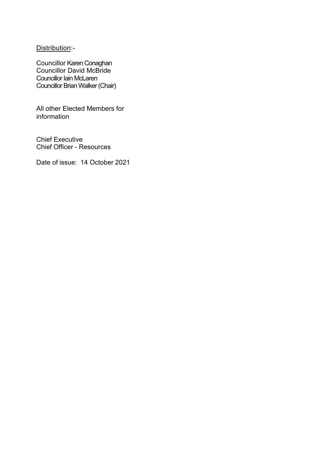Distribution:-

Councillor Karen Conaghan Councillor David McBride Councillor Iain McLaren Councillor Brian Walker (Chair)

All other Elected Members for information

Chief Executive Chief Officer - Resources

Date of issue: 14 October 2021